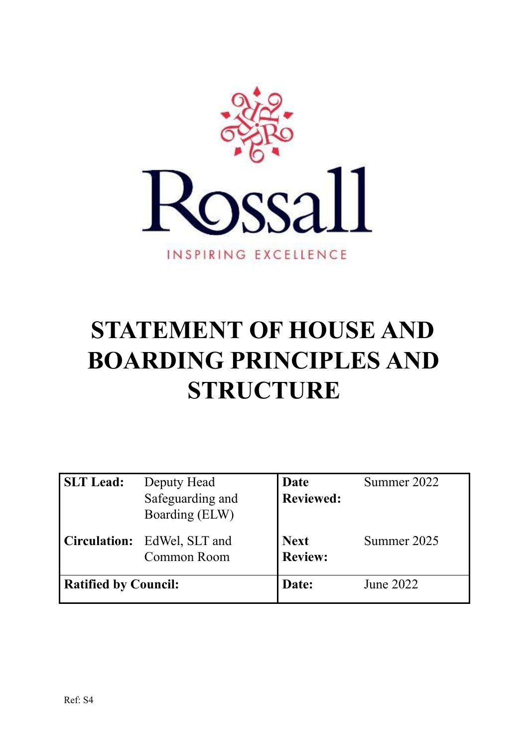

# **STATEMENT OF HOUSE AND BOARDING PRINCIPLES AND STRUCTURE**

| <b>SLT</b> Lead:            | Deputy Head<br>Safeguarding and<br>Boarding (ELW) | <b>Date</b><br><b>Reviewed:</b> | Summer 2022 |
|-----------------------------|---------------------------------------------------|---------------------------------|-------------|
| <b>Circulation:</b>         | EdWel, SLT and<br>Common Room                     | <b>Next</b><br><b>Review:</b>   | Summer 2025 |
| <b>Ratified by Council:</b> |                                                   | Date:                           | June 2022   |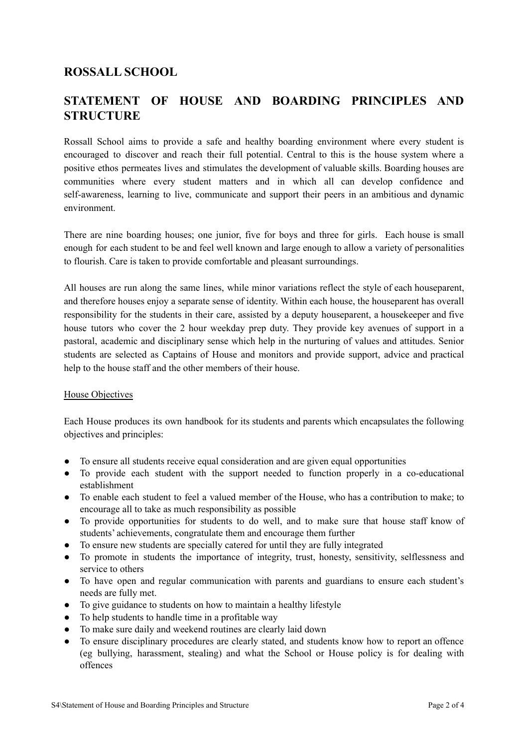## **ROSSALL SCHOOL**

## **STATEMENT OF HOUSE AND BOARDING PRINCIPLES AND STRUCTURE**

Rossall School aims to provide a safe and healthy boarding environment where every student is encouraged to discover and reach their full potential. Central to this is the house system where a positive ethos permeates lives and stimulates the development of valuable skills. Boarding houses are communities where every student matters and in which all can develop confidence and self-awareness, learning to live, communicate and support their peers in an ambitious and dynamic environment.

There are nine boarding houses; one junior, five for boys and three for girls. Each house is small enough for each student to be and feel well known and large enough to allow a variety of personalities to flourish. Care is taken to provide comfortable and pleasant surroundings.

All houses are run along the same lines, while minor variations reflect the style of each houseparent, and therefore houses enjoy a separate sense of identity. Within each house, the houseparent has overall responsibility for the students in their care, assisted by a deputy houseparent, a housekeeper and five house tutors who cover the 2 hour weekday prep duty. They provide key avenues of support in a pastoral, academic and disciplinary sense which help in the nurturing of values and attitudes. Senior students are selected as Captains of House and monitors and provide support, advice and practical help to the house staff and the other members of their house.

#### House Objectives

Each House produces its own handbook for its students and parents which encapsulates the following objectives and principles:

- To ensure all students receive equal consideration and are given equal opportunities
- To provide each student with the support needed to function properly in a co-educational establishment
- To enable each student to feel a valued member of the House, who has a contribution to make; to encourage all to take as much responsibility as possible
- To provide opportunities for students to do well, and to make sure that house staff know of students' achievements, congratulate them and encourage them further
- To ensure new students are specially catered for until they are fully integrated
- To promote in students the importance of integrity, trust, honesty, sensitivity, selflessness and service to others
- To have open and regular communication with parents and guardians to ensure each student's needs are fully met.
- To give guidance to students on how to maintain a healthy lifestyle
- To help students to handle time in a profitable way
- To make sure daily and weekend routines are clearly laid down
- To ensure disciplinary procedures are clearly stated, and students know how to report an offence (eg bullying, harassment, stealing) and what the School or House policy is for dealing with offences